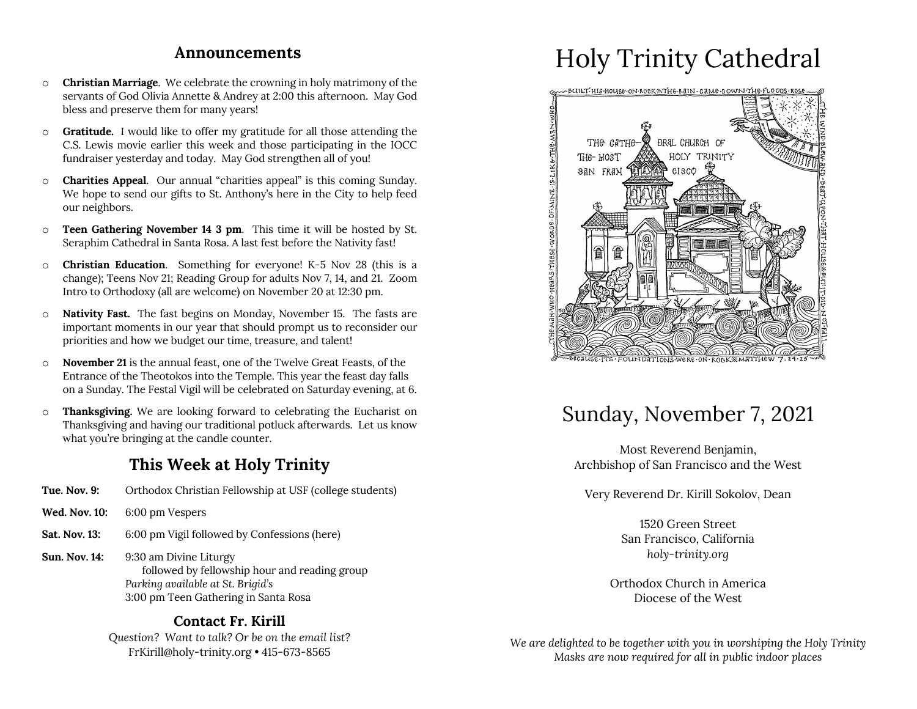### **Announcements**

- o **Christian Marriage**. We celebrate the crowning in holy matrimony of the servants of God Olivia Annette & Andrey at 2:00 this afternoon. May God bless and preserve them for many years!
- o **Gratitude.** I would like to offer my gratitude for all those attending the C.S. Lewis movie earlier this week and those participating in the IOCC fundraiser yesterday and today. May God strengthen all of you!
- o **Charities Appeal**. Our annual "charities appeal" is this coming Sunday. We hope to send our gifts to St. Anthony's here in the City to help feed our neighbors.
- o **Teen Gathering November 14 3 pm**. This time it will be hosted by St. Seraphim Cathedral in Santa Rosa. A last fest before the Nativity fast!
- o **Christian Education**. Something for everyone! K-5 Nov 28 (this is a change); Teens Nov 21; Reading Group for adults Nov 7, 14, and 21. Zoom Intro to Orthodoxy (all are welcome) on November 20 at 12:30 pm.
- o **Nativity Fast.** The fast begins on Monday, November 15. The fasts are important moments in our year that should prompt us to reconsider our priorities and how we budget our time, treasure, and talent!
- o **November 21** is the annual feast, one of the Twelve Great Feasts, of the Entrance of the Theotokos into the Temple. This year the feast day falls on a Sunday. The Festal Vigil will be celebrated on Saturday evening, at 6.
- o **Thanksgiving.** We are looking forward to celebrating the Eucharist on Thanksgiving and having our traditional potluck afterwards. Let us know what you're bringing at the candle counter.

### **This Week at Holy Trinity**

- **Tue. Nov. 9:** Orthodox Christian Fellowship at USF (college students)
- **Wed. Nov. 10:** 6:00 pm Vespers
- **Sat. Nov. 13:** 6:00 pm Vigil followed by Confessions (here)
- **Sun. Nov. 14:** 9:30 am Divine Liturgy followed by fellowship hour and reading group *Parking available at St. Brigid's* 3:00 pm Teen Gathering in Santa Rosa

### **Contact Fr. Kirill**

*Question? Want to talk? Or be on the email list?* FrKirill@holy-trinity.org • 415-673-8565

# Holy Trinity Cathedral



## Sunday, November 7, 2021

Most Reverend Benjamin, Archbishop of San Francisco and the West

Very Reverend Dr. Kirill Sokolov, Dean

1520 Green Street San Francisco, California *holy-trinity.org*

Orthodox Church in America Diocese of the West

*We are delighted to be together with you in worshiping the Holy Trinity Masks are now required for all in public indoor places*